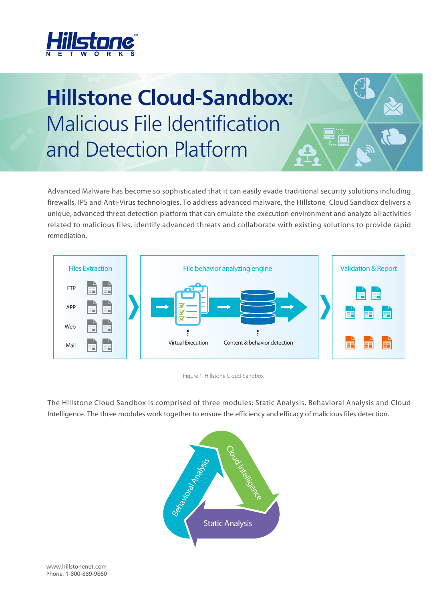

# **Hillstone Cloud-Sandbox:** Malicious File Identification and Detection Platform

Advanced Malware has become so sophisticated that it can easily evade traditional security solutions including firewalls, IPS and Anti-Virus technologies. To address advanced malware, the Hillstone Cloud Sandbox delivers a unique, advanced threat detection platform that can emulate the execution environment and analyze all activities related to malicious files, identify advanced threats and collaborate with existing solutions to provide rapid remediation.



Figure 1. Hillstone Cloud-Sandbox

The Hillstone Cloud Sandbox is comprised of three modules: Static Analysis, Behavioral Analysis and Cloud Intelligence. The three modules work together to ensure the efficiency and efficacy of malicious files detection.